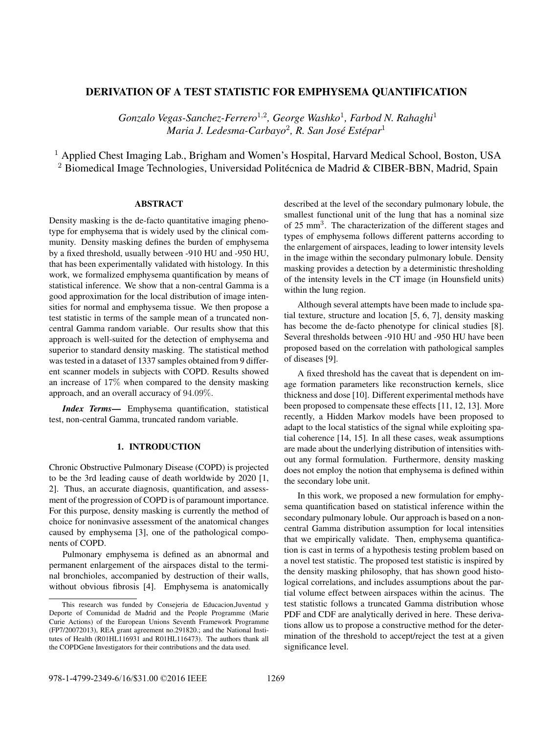# DERIVATION OF A TEST STATISTIC FOR EMPHYSEMA QUANTIFICATION

*Gonzalo Vegas-Sanchez-Ferrero*<sup>1</sup>,<sup>2</sup> *, George Washko*<sup>1</sup> *, Farbod N. Rahaghi*<sup>1</sup>  $M$ aria J. Ledesma-Carbayo<sup>2</sup>, R. San José Estépar<sup>1</sup>

<sup>1</sup> Applied Chest Imaging Lab., Brigham and Women's Hospital, Harvard Medical School, Boston, USA  $2$  Biomedical Image Technologies, Universidad Politécnica de Madrid & CIBER-BBN, Madrid, Spain

# **ABSTRACT**

Density masking is the de-facto quantitative imaging phenotype for emphysema that is widely used by the clinical community. Density masking defines the burden of emphysema by a fixed threshold, usually between -910 HU and -950 HU, that has been experimentally validated with histology. In this work, we formalized emphysema quantification by means of statistical inference. We show that a non-central Gamma is a good approximation for the local distribution of image intensities for normal and emphysema tissue. We then propose a test statistic in terms of the sample mean of a truncated noncentral Gamma random variable. Our results show that this approach is well-suited for the detection of emphysema and superior to standard density masking. The statistical method was tested in a dataset of 1337 samples obtained from 9 different scanner models in subjects with COPD. Results showed an increase of 17% when compared to the density masking approach, and an overall accuracy of 94.09%.

*Index Terms*— Emphysema quantification, statistical test, non-central Gamma, truncated random variable.

## 1. INTRODUCTION

Chronic Obstructive Pulmonary Disease (COPD) is projected to be the 3rd leading cause of death worldwide by 2020 [1, 2]. Thus, an accurate diagnosis, quantification, and assessment of the progression of COPD is of paramount importance. For this purpose, density masking is currently the method of choice for noninvasive assessment of the anatomical changes caused by emphysema [3], one of the pathological components of COPD.

Pulmonary emphysema is defined as an abnormal and permanent enlargement of the airspaces distal to the terminal bronchioles, accompanied by destruction of their walls, without obvious fibrosis [4]. Emphysema is anatomically

described at the level of the secondary pulmonary lobule, the smallest functional unit of the lung that has a nominal size of 25 mm<sup>3</sup>. The characterization of the different stages and types of emphysema follows different patterns according to the enlargement of airspaces, leading to lower intensity levels in the image within the secondary pulmonary lobule. Density masking provides a detection by a deterministic thresholding of the intensity levels in the CT image (in Hounsfield units) within the lung region.

Although several attempts have been made to include spatial texture, structure and location [5, 6, 7], density masking has become the de-facto phenotype for clinical studies [8]. Several thresholds between -910 HU and -950 HU have been proposed based on the correlation with pathological samples of diseases [9].

A fixed threshold has the caveat that is dependent on image formation parameters like reconstruction kernels, slice thickness and dose [10]. Different experimental methods have been proposed to compensate these effects [11, 12, 13]. More recently, a Hidden Markov models have been proposed to adapt to the local statistics of the signal while exploiting spatial coherence [14, 15]. In all these cases, weak assumptions are made about the underlying distribution of intensities without any formal formulation. Furthermore, density masking does not employ the notion that emphysema is defined within the secondary lobe unit.

In this work, we proposed a new formulation for emphysema quantification based on statistical inference within the secondary pulmonary lobule. Our approach is based on a noncentral Gamma distribution assumption for local intensities that we empirically validate. Then, emphysema quantification is cast in terms of a hypothesis testing problem based on a novel test statistic. The proposed test statistic is inspired by the density masking philosophy, that has shown good histological correlations, and includes assumptions about the partial volume effect between airspaces within the acinus. The test statistic follows a truncated Gamma distribution whose PDF and CDF are analytically derived in here. These derivations allow us to propose a constructive method for the determination of the threshold to accept/reject the test at a given significance level.

This research was funded by Consejeria de Educacion,Juventud y Deporte of Comunidad de Madrid and the People Programme (Marie Curie Actions) of the European Unions Seventh Framework Programme (FP7/20072013), REA grant agreement no.291820.; and the National Institutes of Health (R01HL116931 and R01HL116473). The authors thank all the COPDGene Investigators for their contributions and the data used.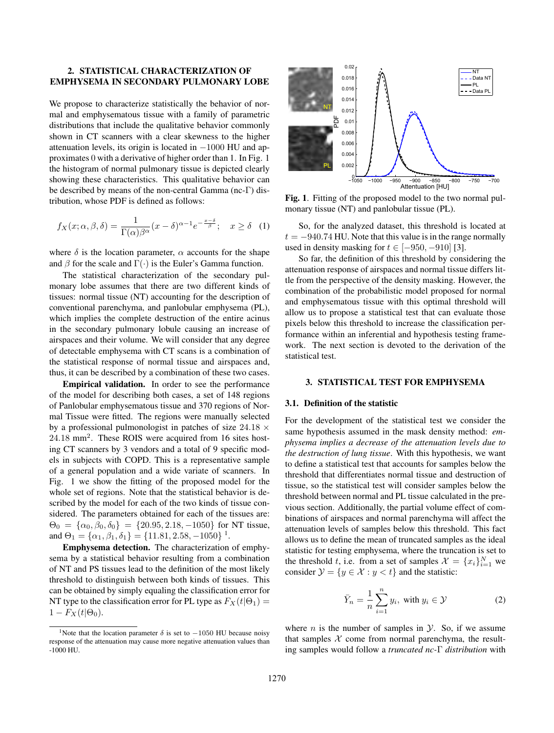## 2. STATISTICAL CHARACTERIZATION OF EMPHYSEMA IN SECONDARY PULMONARY LOBE

We propose to characterize statistically the behavior of normal and emphysematous tissue with a family of parametric distributions that include the qualitative behavior commonly shown in CT scanners with a clear skewness to the higher attenuation levels, its origin is located in  $-1000$  HU and approximates 0 with a derivative of higher order than 1. In Fig. 1 the histogram of normal pulmonary tissue is depicted clearly showing these characteristics. This qualitative behavior can be described by means of the non-central Gamma (nc-Γ) distribution, whose PDF is defined as follows:

$$
f_X(x; \alpha, \beta, \delta) = \frac{1}{\Gamma(\alpha)\beta^{\alpha}} (x - \delta)^{\alpha - 1} e^{-\frac{x - \delta}{\beta}}; \quad x \ge \delta \quad (1)
$$

where  $\delta$  is the location parameter,  $\alpha$  accounts for the shape and  $\beta$  for the scale and  $\Gamma(\cdot)$  is the Euler's Gamma function.

The statistical characterization of the secondary pulmonary lobe assumes that there are two different kinds of tissues: normal tissue (NT) accounting for the description of conventional parenchyma, and panlobular emphysema (PL), which implies the complete destruction of the entire acinus in the secondary pulmonary lobule causing an increase of airspaces and their volume. We will consider that any degree of detectable emphysema with CT scans is a combination of the statistical response of normal tissue and airspaces and, thus, it can be described by a combination of these two cases.

Empirical validation. In order to see the performance of the model for describing both cases, a set of 148 regions of Panlobular emphysematous tissue and 370 regions of Normal Tissue were fitted. The regions were manually selected by a professional pulmonologist in patches of size  $24.18 \times$ 24.18 mm<sup>2</sup>. These ROIS were acquired from 16 sites hosting CT scanners by 3 vendors and a total of 9 specific models in subjects with COPD. This is a representative sample of a general population and a wide variate of scanners. In Fig. 1 we show the fitting of the proposed model for the whole set of regions. Note that the statistical behavior is described by the model for each of the two kinds of tissue considered. The parameters obtained for each of the tissues are:  $\Theta_0 = {\alpha_0, \beta_0, \delta_0} = {20.95, 2.18, -1050}$  for NT tissue, and  $\Theta_1 = {\alpha_1, \beta_1, \delta_1} = {11.81, 2.58, -1050}^{\frac{1}{1}}$ .

Emphysema detection. The characterization of emphysema by a statistical behavior resulting from a combination of NT and PS tissues lead to the definition of the most likely threshold to distinguish between both kinds of tissues. This can be obtained by simply equaling the classification error for NT type to the classification error for PL type as  $F_X(t|\Theta_1) =$  $1-F_X(t|\Theta_0).$ 



Fig. 1. Fitting of the proposed model to the two normal pulmonary tissue (NT) and panlobular tissue (PL).

So, for the analyzed dataset, this threshold is located at  $t = -940.74$  HU. Note that this value is in the range normally used in density masking for  $t \in [-950, -910]$  [3].

So far, the definition of this threshold by considering the attenuation response of airspaces and normal tissue differs little from the perspective of the density masking. However, the combination of the probabilistic model proposed for normal and emphysematous tissue with this optimal threshold will allow us to propose a statistical test that can evaluate those pixels below this threshold to increase the classification performance within an inferential and hypothesis testing framework. The next section is devoted to the derivation of the statistical test.

## 3. STATISTICAL TEST FOR EMPHYSEMA

### 3.1. Definition of the statistic

For the development of the statistical test we consider the same hypothesis assumed in the mask density method: *emphysema implies a decrease of the attenuation levels due to the destruction of lung tissue*. With this hypothesis, we want to define a statistical test that accounts for samples below the threshold that differentiates normal tissue and destruction of tissue, so the statistical test will consider samples below the threshold between normal and PL tissue calculated in the previous section. Additionally, the partial volume effect of combinations of airspaces and normal parenchyma will affect the attenuation levels of samples below this threshold. This fact allows us to define the mean of truncated samples as the ideal statistic for testing emphysema, where the truncation is set to the threshold t, i.e. from a set of samples  $\mathcal{X} = \{x_i\}_{i=1}^N$  we consider  $\mathcal{Y} = \{y \in \mathcal{X} : y < t\}$  and the statistic:

$$
\bar{Y}_n = \frac{1}{n} \sum_{i=1}^n y_i, \text{ with } y_i \in \mathcal{Y}
$$
 (2)

where  $n$  is the number of samples in  $\mathcal{Y}$ . So, if we assume that samples  $X$  come from normal parenchyma, the resulting samples would follow a *truncated nc-*Γ *distribution* with

<sup>&</sup>lt;sup>1</sup>Note that the location parameter  $\delta$  is set to  $-1050$  HU because noisy response of the attenuation may cause more negative attenuation values than -1000 HU.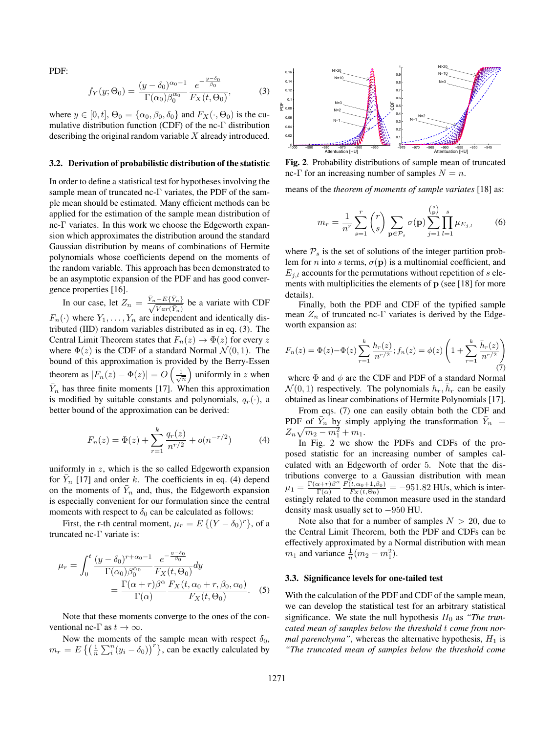PDF:

$$
f_Y(y; \Theta_0) = \frac{(y - \delta_0)^{\alpha_0 - 1}}{\Gamma(\alpha_0)\beta_0^{\alpha_0}} \frac{e^{-\frac{y - \delta_0}{\beta_0}}}{F_X(t, \Theta_0)},
$$
(3)

where  $y \in [0, t]$ ,  $\Theta_0 = {\alpha_0, \beta_0, \delta_0}$  and  $F_X(\cdot, \Theta_0)$  is the cumulative distribution function (CDF) of the nc-Γ distribution describing the original random variable  $X$  already introduced.

#### 3.2. Derivation of probabilistic distribution of the statistic

In order to define a statistical test for hypotheses involving the sample mean of truncated nc-Γ variates, the PDF of the sample mean should be estimated. Many efficient methods can be applied for the estimation of the sample mean distribution of nc-Γ variates. In this work we choose the Edgeworth expansion which approximates the distribution around the standard Gaussian distribution by means of combinations of Hermite polynomials whose coefficients depend on the moments of the random variable. This approach has been demonstrated to be an asymptotic expansion of the PDF and has good convergence properties [16].

In our case, let  $Z_n = \frac{\bar{Y}_n - E\{\bar{Y}_n\}}{\sqrt{Var(\bar{Y}_n)}}$  be a variate with CDF  $F_n(\cdot)$  where  $Y_1, \ldots, Y_n$  are independent and identically distributed (IID) random variables distributed as in eq. (3). The Central Limit Theorem states that  $F_n(z) \to \Phi(z)$  for every z where  $\Phi(z)$  is the CDF of a standard Normal  $\mathcal{N}(0, 1)$ . The bound of this approximation is provided by the Berry-Essen theorem as  $|F_n(z) - \Phi(z)| = O\left(\frac{1}{\sqrt{n}}\right)$  uniformly in z when  $\bar{Y}_n$  has three finite moments [17]. When this approximation is modified by suitable constants and polynomials,  $q_r(\cdot)$ , a better bound of the approximation can be derived:

$$
F_n(z) = \Phi(z) + \sum_{r=1}^k \frac{q_r(z)}{n^{r/2}} + o(n^{-r/2})
$$
 (4)

uniformly in  $z$ , which is the so called Edgeworth expansion for  $\bar{Y}_n$  [17] and order k. The coefficients in eq. (4) depend on the moments of  $\bar{Y}_n$  and, thus, the Edgeworth expansion is especially convenient for our formulation since the central moments with respect to  $\delta_0$  can be calculated as follows:

First, the r-th central moment,  $\mu_r = E\left\{ (Y - \delta_0)^r \right\}$ , of a truncated nc-Γ variate is:

$$
\mu_r = \int_0^t \frac{(y - \delta_0)^{r + \alpha_0 - 1}}{\Gamma(\alpha_0) \beta_0^{\alpha_0}} \frac{e^{-\frac{y - \delta_0}{\beta_0}}}{F_X(t, \Theta_0)} dy
$$

$$
= \frac{\Gamma(\alpha + r) \beta^{\alpha}}{\Gamma(\alpha)} \frac{F_X(t, \alpha_0 + r, \beta_0, \alpha_0)}{F_X(t, \Theta_0)}.
$$
(5)

Note that these moments converge to the ones of the conventional nc- $\Gamma$  as  $t \to \infty$ .

Now the moments of the sample mean with respect  $\delta_0$ ,  $m_r = E\left\{ \left( \frac{1}{n} \sum_{i=1}^{n} (y_i - \delta_0) \right)^r \right\}$ , can be exactly calculated by



Fig. 2. Probability distributions of sample mean of truncated nc-Γ for an increasing number of samples  $N = n$ .

means of the *theorem of moments of sample variates* [18] as:

$$
m_r = \frac{1}{n^r} \sum_{s=1}^r {r \choose s} \sum_{\mathbf{p} \in \mathcal{P}_s} \sigma(\mathbf{p}) \sum_{j=1}^{{s \choose p}} \prod_{l=1}^s \mu_{E_{j,l}}
$$
(6)

where  $P<sub>s</sub>$  is the set of solutions of the integer partition problem for *n* into *s* terms,  $\sigma(\mathbf{p})$  is a multinomial coefficient, and  $E_{i,l}$  accounts for the permutations without repetition of s elements with multiplicities the elements of p (see [18] for more details).

Finally, both the PDF and CDF of the typified sample mean  $Z_n$  of truncated nc-Γ variates is derived by the Edgeworth expansion as:

$$
F_n(z) = \Phi(z) - \Phi(z) \sum_{r=1}^k \frac{h_r(z)}{n^{r/2}}; f_n(z) = \phi(z) \left( 1 + \sum_{r=1}^k \frac{\bar{h}_r(z)}{n^{r/2}} \right)
$$
(7)

where  $\Phi$  and  $\phi$  are the CDF and PDF of a standard Normal  $\mathcal{N}(0, 1)$  respectively. The polynomials  $h_r$ ,  $\bar{h}_r$  can be easily obtained as linear combinations of Hermite Polynomials [17].

From eqs. (7) one can easily obtain both the CDF and PDF of  $\bar{Y}_n$  by simply applying the transformation  $\bar{Y}_n$  =  $Z_n\sqrt{m_2-m_1^2}+m_1.$ 

In Fig. 2 we show the PDFs and CDFs of the proposed statistic for an increasing number of samples calculated with an Edgeworth of order 5. Note that the distributions converge to a Gaussian distribution with mean  $\mu_1 = \frac{\Gamma(\alpha+r)\beta^{\alpha}}{\Gamma(\alpha)}$  $\frac{(x+r)\beta^{\alpha}}{\Gamma(\alpha)} \frac{F(t,\alpha_0+1,\beta_0)}{F_X(t,\Theta_0)} = -951.82 \text{ HUs, which is inter-}$ estingly related to the common measure used in the standard density mask usually set to −950 HU.

Note also that for a number of samples  $N > 20$ , due to the Central Limit Theorem, both the PDF and CDFs can be effectively approximated by a Normal distribution with mean  $m_1$  and variance  $\frac{1}{n}(m_2 - m_1^2)$ .

## 3.3. Significance levels for one-tailed test

With the calculation of the PDF and CDF of the sample mean, we can develop the statistical test for an arbitrary statistical significance. We state the null hypothesis  $H_0$  as *"The truncated mean of samples below the threshold* t *come from normal parenchyma*", whereas the alternative hypothesis,  $H_1$  is *"The truncated mean of samples below the threshold come*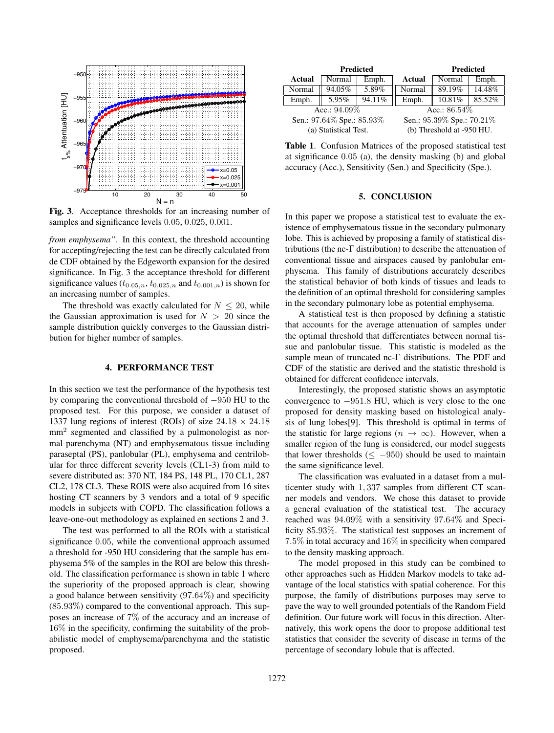

Fig. 3. Acceptance thresholds for an increasing number of samples and significance levels 0.05, 0.025, 0.001.

*from emphysema"*. In this context, the threshold accounting for accepting/rejecting the test can be directly calculated from de CDF obtained by the Edgeworth expansion for the desired significance. In Fig. 3 the acceptance threshold for different significance values  $(t_{0.05,n}, t_{0.025,n}$  and  $t_{0.001,n}$ ) is shown for an increasing number of samples.

The threshold was exactly calculated for  $N \leq 20$ , while the Gaussian approximation is used for  $N > 20$  since the sample distribution quickly converges to the Gaussian distribution for higher number of samples.

### 4. PERFORMANCE TEST

In this section we test the performance of the hypothesis test by comparing the conventional threshold of −950 HU to the proposed test. For this purpose, we consider a dataset of 1337 lung regions of interest (ROIs) of size  $24.18 \times 24.18$ mm<sup>2</sup> segmented and classified by a pulmonologist as normal parenchyma (NT) and emphysematous tissue including paraseptal (PS), panlobular (PL), emphysema and centrilobular for three different severity levels (CL1-3) from mild to severe distributed as: 370 NT, 184 PS, 148 PL, 170 CL1, 287 CL2, 178 CL3. These ROIS were also acquired from 16 sites hosting CT scanners by 3 vendors and a total of 9 specific models in subjects with COPD. The classification follows a leave-one-out methodology as explained en sections 2 and 3.

The test was performed to all the ROIs with a statistical significance 0.05, while the conventional approach assumed a threshold for -950 HU considering that the sample has emphysema 5% of the samples in the ROI are below this threshold. The classification performance is shown in table 1 where the superiority of the proposed approach is clear, showing a good balance between sensitivity (97.64%) and specificity (85.93%) compared to the conventional approach. This supposes an increase of 7% of the accuracy and an increase of 16% in the specificity, confirming the suitability of the probabilistic model of emphysema/parenchyma and the statistic proposed.

| <b>Predicted</b>          |        |        |                           | <b>Predicted</b> |        |  |
|---------------------------|--------|--------|---------------------------|------------------|--------|--|
| Actual                    | Normal | Emph.  | Actual                    | Normal           | Emph.  |  |
| Normal                    | 94.05% | 5.89%  | Normal                    | 89.19%           | 14.48% |  |
| Emph.                     | 5.95%  | 94.11% | Emph.                     | 10.81%           | 85.52% |  |
| Acc.: $94.09\%$           |        |        | Acc.: $86.54\%$           |                  |        |  |
| Sen.: 97.64% Spe.: 85.93% |        |        | Sen.: 95.39% Spe.: 70.21% |                  |        |  |
| (a) Statistical Test.     |        |        | (b) Threshold at -950 HU. |                  |        |  |

Table 1. Confusion Matrices of the proposed statistical test at significance 0.05 (a), the density masking (b) and global accuracy (Acc.), Sensitivity (Sen.) and Specificity (Spe.).

## 5. CONCLUSION

In this paper we propose a statistical test to evaluate the existence of emphysematous tissue in the secondary pulmonary lobe. This is achieved by proposing a family of statistical distributions (the nc-Γ distribution) to describe the attenuation of conventional tissue and airspaces caused by panlobular emphysema. This family of distributions accurately describes the statistical behavior of both kinds of tissues and leads to the definition of an optimal threshold for considering samples in the secondary pulmonary lobe as potential emphysema.

A statistical test is then proposed by defining a statistic that accounts for the average attenuation of samples under the optimal threshold that differentiates between normal tissue and panlobular tissue. This statistic is modeled as the sample mean of truncated nc-Γ distributions. The PDF and CDF of the statistic are derived and the statistic threshold is obtained for different confidence intervals.

Interestingly, the proposed statistic shows an asymptotic convergence to −951.8 HU, which is very close to the one proposed for density masking based on histological analysis of lung lobes[9]. This threshold is optimal in terms of the statistic for large regions ( $n \to \infty$ ). However, when a smaller region of the lung is considered, our model suggests that lower thresholds ( $\leq -950$ ) should be used to maintain the same significance level.

The classification was evaluated in a dataset from a multicenter study with 1, 337 samples from different CT scanner models and vendors. We chose this dataset to provide a general evaluation of the statistical test. The accuracy reached was 94.09% with a sensitivity 97.64% and Specificity 85.93%. The statistical test supposes an increment of 7.5% in total accuracy and 16% in specificity when compared to the density masking approach.

The model proposed in this study can be combined to other approaches such as Hidden Markov models to take advantage of the local statistics with spatial coherence. For this purpose, the family of distributions purposes may serve to pave the way to well grounded potentials of the Random Field definition. Our future work will focus in this direction. Alternatively, this work opens the door to propose additional test statistics that consider the severity of disease in terms of the percentage of secondary lobule that is affected.